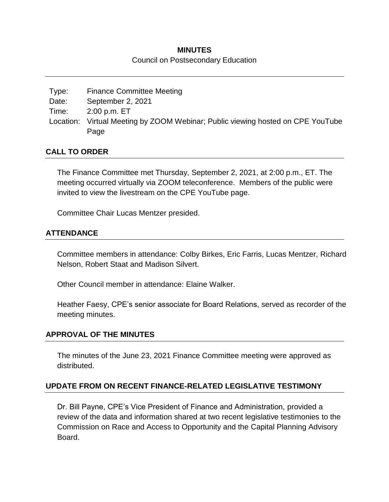## **MINUTES**

#### Council on Postsecondary Education

| Type: | <b>Finance Committee Meeting</b>                                                |
|-------|---------------------------------------------------------------------------------|
| Date: | September 2, 2021                                                               |
| Time: | $2:00$ p.m. $ET$                                                                |
|       | Location: Virtual Meeting by ZOOM Webinar; Public viewing hosted on CPE YouTube |
|       | Page                                                                            |

## **CALL TO ORDER**

The Finance Committee met Thursday, September 2, 2021, at 2:00 p.m., ET. The meeting occurred virtually via ZOOM teleconference. Members of the public were invited to view the livestream on the CPE YouTube page.

Committee Chair Lucas Mentzer presided.

# **ATTENDANCE**

Committee members in attendance: Colby Birkes, Eric Farris, Lucas Mentzer, Richard Nelson, Robert Staat and Madison Silvert.

Other Council member in attendance: Elaine Walker.

Heather Faesy, CPE's senior associate for Board Relations, served as recorder of the meeting minutes.

#### **APPROVAL OF THE MINUTES**

The minutes of the June 23, 2021 Finance Committee meeting were approved as distributed.

# **UPDATE FROM ON RECENT FINANCE-RELATED LEGISLATIVE TESTIMONY**

Dr. Bill Payne, CPE's Vice President of Finance and Administration, provided a review of the data and information shared at two recent legislative testimonies to the Commission on Race and Access to Opportunity and the Capital Planning Advisory Board.